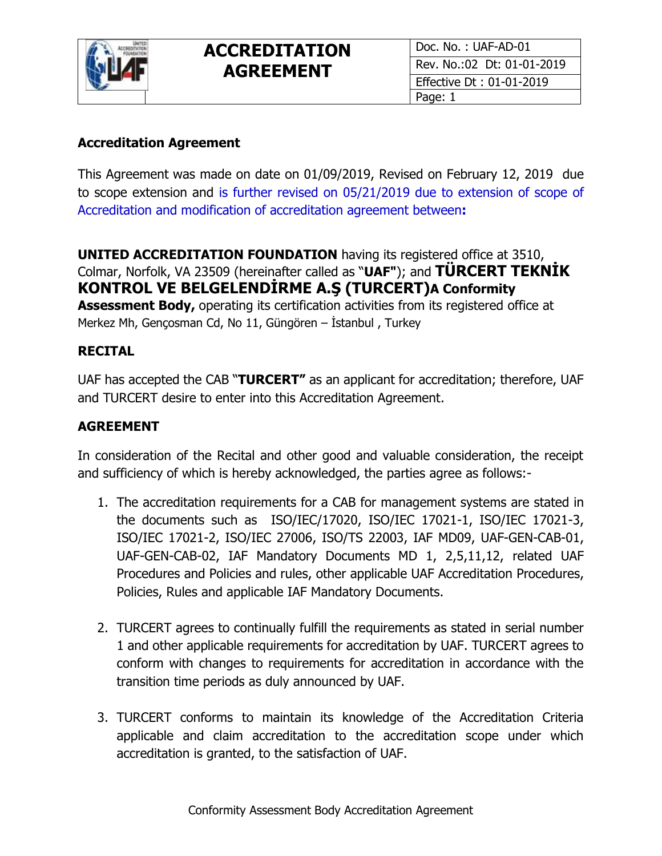

### **Accreditation Agreement**

This Agreement was made on date on 01/09/2019, Revised on February 12, 2019 due to scope extension and is further revised on 05/21/2019 due to extension of scope of Accreditation and modification of accreditation agreement between**:** 

**UNITED ACCREDITATION FOUNDATION** having its registered office at 3510, Colmar, Norfolk, VA 23509 (hereinafter called as "**UAF"**); and **TÜRCERT TEKNİK KONTROL VE BELGELENDİRME A.Ş (TURCERT)A Conformity** 

**Assessment Body,** operating its certification activities from its registered office at Merkez Mh, Gençosman Cd, No 11, Güngören – İstanbul , Turkey

#### **RECITAL**

UAF has accepted the CAB "**TURCERT"** as an applicant for accreditation; therefore, UAF and TURCERT desire to enter into this Accreditation Agreement.

#### **AGREEMENT**

In consideration of the Recital and other good and valuable consideration, the receipt and sufficiency of which is hereby acknowledged, the parties agree as follows:-

- 1. The accreditation requirements for a CAB for management systems are stated in the documents such as ISO/IEC/17020, ISO/IEC 17021-1, ISO/IEC 17021-3, ISO/IEC 17021-2, ISO/IEC 27006, ISO/TS 22003, IAF MD09, UAF-GEN-CAB-01, UAF-GEN-CAB-02, IAF Mandatory Documents MD 1, 2,5,11,12, related UAF Procedures and Policies and rules, other applicable UAF Accreditation Procedures, Policies, Rules and applicable IAF Mandatory Documents.
- 2. TURCERT agrees to continually fulfill the requirements as stated in serial number 1 and other applicable requirements for accreditation by UAF. TURCERT agrees to conform with changes to requirements for accreditation in accordance with the transition time periods as duly announced by UAF.
- 3. TURCERT conforms to maintain its knowledge of the Accreditation Criteria applicable and claim accreditation to the accreditation scope under which accreditation is granted, to the satisfaction of UAF.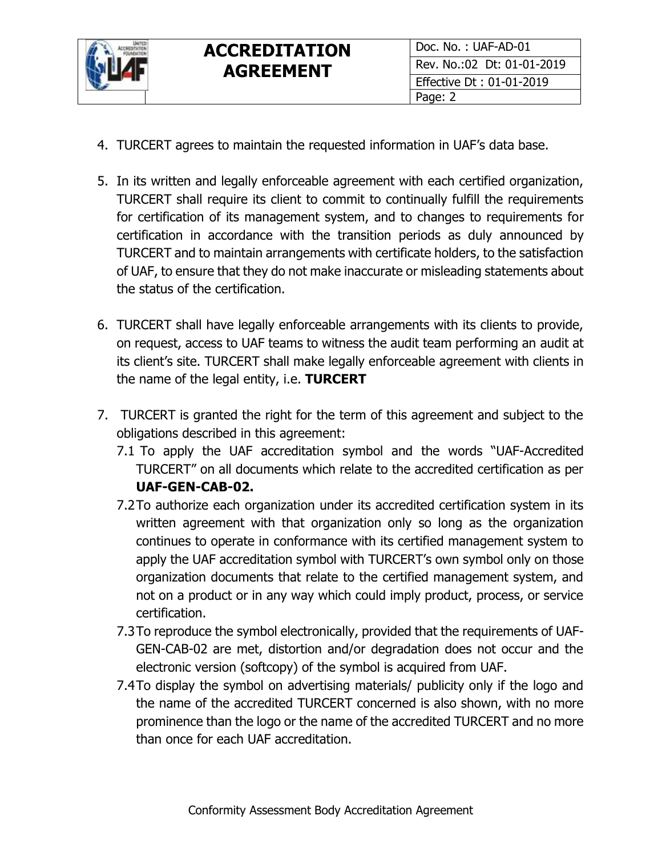

- 4. TURCERT agrees to maintain the requested information in UAF's data base.
- 5. In its written and legally enforceable agreement with each certified organization, TURCERT shall require its client to commit to continually fulfill the requirements for certification of its management system, and to changes to requirements for certification in accordance with the transition periods as duly announced by TURCERT and to maintain arrangements with certificate holders, to the satisfaction of UAF, to ensure that they do not make inaccurate or misleading statements about the status of the certification.
- 6. TURCERT shall have legally enforceable arrangements with its clients to provide, on request, access to UAF teams to witness the audit team performing an audit at its client's site. TURCERT shall make legally enforceable agreement with clients in the name of the legal entity, i.e. **TURCERT**
- 7. TURCERT is granted the right for the term of this agreement and subject to the obligations described in this agreement:
	- 7.1 To apply the UAF accreditation symbol and the words "UAF-Accredited TURCERT" on all documents which relate to the accredited certification as per **UAF-GEN-CAB-02.**
	- 7.2To authorize each organization under its accredited certification system in its written agreement with that organization only so long as the organization continues to operate in conformance with its certified management system to apply the UAF accreditation symbol with TURCERT's own symbol only on those organization documents that relate to the certified management system, and not on a product or in any way which could imply product, process, or service certification.
	- 7.3To reproduce the symbol electronically, provided that the requirements of UAF-GEN-CAB-02 are met, distortion and/or degradation does not occur and the electronic version (softcopy) of the symbol is acquired from UAF.
	- 7.4To display the symbol on advertising materials/ publicity only if the logo and the name of the accredited TURCERT concerned is also shown, with no more prominence than the logo or the name of the accredited TURCERT and no more than once for each UAF accreditation.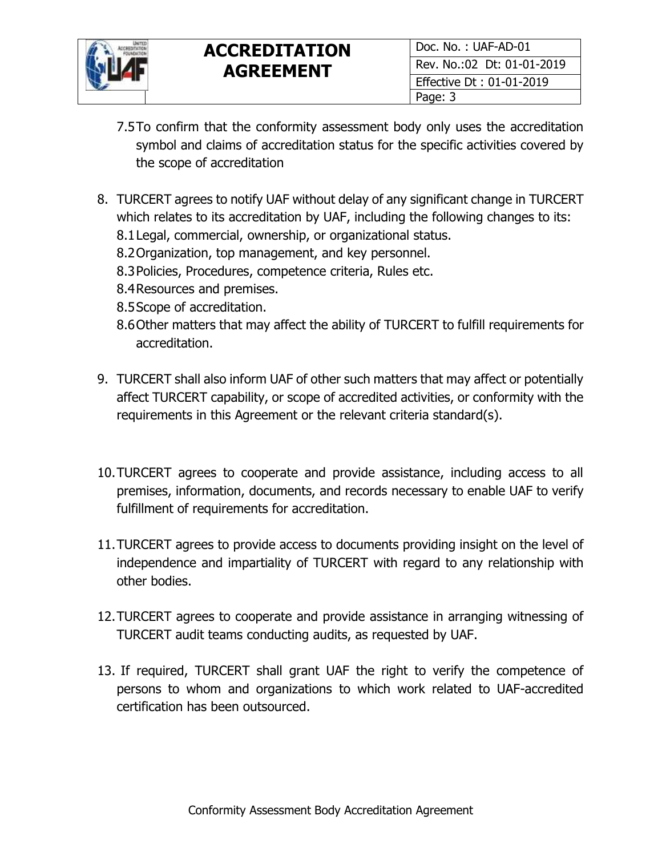

- 7.5To confirm that the conformity assessment body only uses the accreditation symbol and claims of accreditation status for the specific activities covered by the scope of accreditation
- 8. TURCERT agrees to notify UAF without delay of any significant change in TURCERT which relates to its accreditation by UAF, including the following changes to its: 8.1Legal, commercial, ownership, or organizational status.
	- 8.2Organization, top management, and key personnel.
	- 8.3Policies, Procedures, competence criteria, Rules etc.
	- 8.4Resources and premises.
	- 8.5Scope of accreditation.
	- 8.6Other matters that may affect the ability of TURCERT to fulfill requirements for accreditation.
- 9. TURCERT shall also inform UAF of other such matters that may affect or potentially affect TURCERT capability, or scope of accredited activities, or conformity with the requirements in this Agreement or the relevant criteria standard(s).
- 10.TURCERT agrees to cooperate and provide assistance, including access to all premises, information, documents, and records necessary to enable UAF to verify fulfillment of requirements for accreditation.
- 11.TURCERT agrees to provide access to documents providing insight on the level of independence and impartiality of TURCERT with regard to any relationship with other bodies.
- 12.TURCERT agrees to cooperate and provide assistance in arranging witnessing of TURCERT audit teams conducting audits, as requested by UAF.
- 13. If required, TURCERT shall grant UAF the right to verify the competence of persons to whom and organizations to which work related to UAF-accredited certification has been outsourced.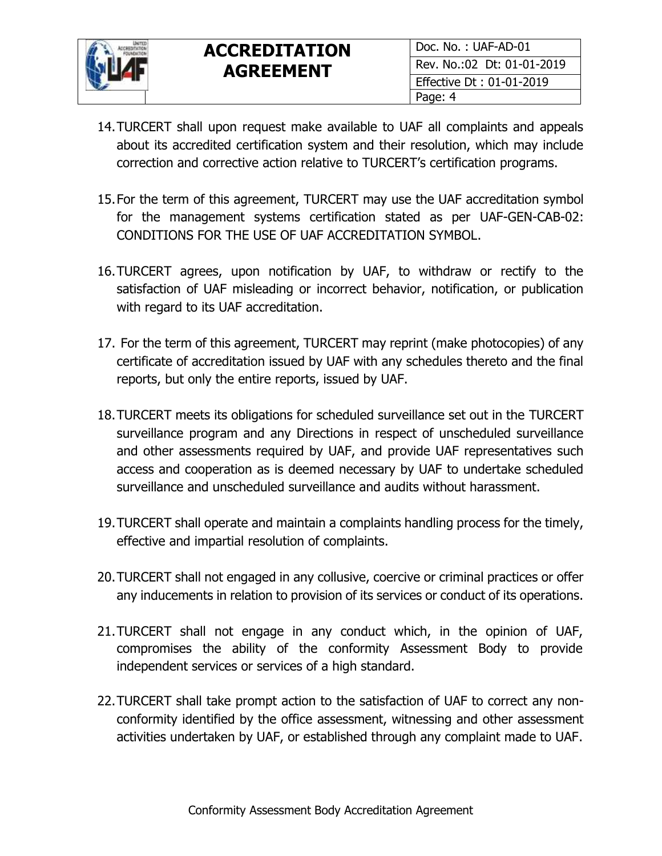

- 14.TURCERT shall upon request make available to UAF all complaints and appeals about its accredited certification system and their resolution, which may include correction and corrective action relative to TURCERT's certification programs.
- 15.For the term of this agreement, TURCERT may use the UAF accreditation symbol for the management systems certification stated as per UAF-GEN-CAB-02: CONDITIONS FOR THE USE OF UAF ACCREDITATION SYMBOL.
- 16.TURCERT agrees, upon notification by UAF, to withdraw or rectify to the satisfaction of UAF misleading or incorrect behavior, notification, or publication with regard to its UAF accreditation.
- 17. For the term of this agreement, TURCERT may reprint (make photocopies) of any certificate of accreditation issued by UAF with any schedules thereto and the final reports, but only the entire reports, issued by UAF.
- 18.TURCERT meets its obligations for scheduled surveillance set out in the TURCERT surveillance program and any Directions in respect of unscheduled surveillance and other assessments required by UAF, and provide UAF representatives such access and cooperation as is deemed necessary by UAF to undertake scheduled surveillance and unscheduled surveillance and audits without harassment.
- 19.TURCERT shall operate and maintain a complaints handling process for the timely, effective and impartial resolution of complaints.
- 20.TURCERT shall not engaged in any collusive, coercive or criminal practices or offer any inducements in relation to provision of its services or conduct of its operations.
- 21.TURCERT shall not engage in any conduct which, in the opinion of UAF, compromises the ability of the conformity Assessment Body to provide independent services or services of a high standard.
- 22.TURCERT shall take prompt action to the satisfaction of UAF to correct any nonconformity identified by the office assessment, witnessing and other assessment activities undertaken by UAF, or established through any complaint made to UAF.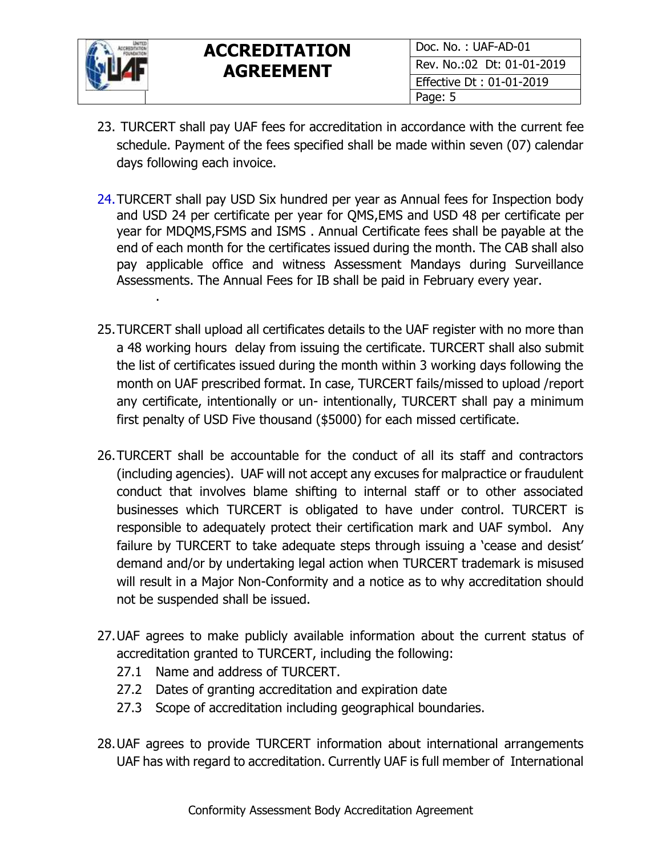

.

- 23. TURCERT shall pay UAF fees for accreditation in accordance with the current fee schedule. Payment of the fees specified shall be made within seven (07) calendar days following each invoice.
- 24.TURCERT shall pay USD Six hundred per year as Annual fees for Inspection body and USD 24 per certificate per year for QMS,EMS and USD 48 per certificate per year for MDQMS,FSMS and ISMS . Annual Certificate fees shall be payable at the end of each month for the certificates issued during the month. The CAB shall also pay applicable office and witness Assessment Mandays during Surveillance Assessments. The Annual Fees for IB shall be paid in February every year.
- 25.TURCERT shall upload all certificates details to the UAF register with no more than a 48 working hours delay from issuing the certificate. TURCERT shall also submit the list of certificates issued during the month within 3 working days following the month on UAF prescribed format. In case, TURCERT fails/missed to upload /report any certificate, intentionally or un- intentionally, TURCERT shall pay a minimum first penalty of USD Five thousand (\$5000) for each missed certificate.
- 26.TURCERT shall be accountable for the conduct of all its staff and contractors (including agencies). UAF will not accept any excuses for malpractice or fraudulent conduct that involves blame shifting to internal staff or to other associated businesses which TURCERT is obligated to have under control. TURCERT is responsible to adequately protect their certification mark and UAF symbol. Any failure by TURCERT to take adequate steps through issuing a 'cease and desist' demand and/or by undertaking legal action when TURCERT trademark is misused will result in a Major Non-Conformity and a notice as to why accreditation should not be suspended shall be issued.
- 27.UAF agrees to make publicly available information about the current status of accreditation granted to TURCERT, including the following:
	- 27.1 Name and address of TURCERT.
	- 27.2 Dates of granting accreditation and expiration date
	- 27.3 Scope of accreditation including geographical boundaries.
- 28.UAF agrees to provide TURCERT information about international arrangements UAF has with regard to accreditation. Currently UAF is full member of International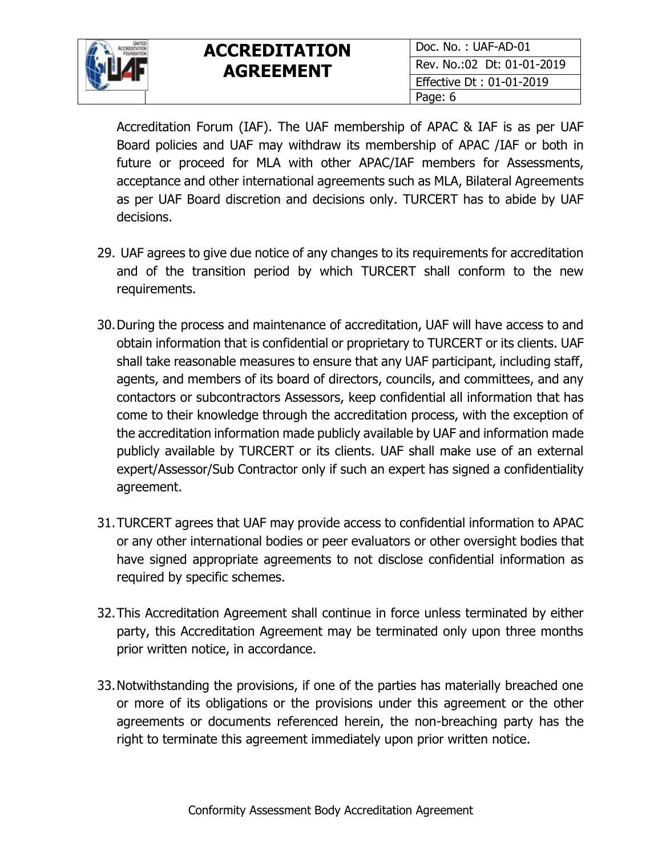

Accreditation Forum (IAF). The UAF membership of APAC & IAF is as per UAF Board policies and UAF may withdraw its membership of APAC /IAF or both in future or proceed for MLA with other APAC/IAF members for Assessments, acceptance and other international agreements such as MLA, Bilateral Agreements as per UAF Board discretion and decisions only. TURCERT has to abide by UAF decisions.

- 29. UAF agrees to give due notice of any changes to its requirements for accreditation and of the transition period by which TURCERT shall conform to the new requirements.
- 30.During the process and maintenance of accreditation, UAF will have access to and obtain information that is confidential or proprietary to TURCERT or its clients. UAF shall take reasonable measures to ensure that any UAF participant, including staff, agents, and members of its board of directors, councils, and committees, and any contactors or subcontractors Assessors, keep confidential all information that has come to their knowledge through the accreditation process, with the exception of the accreditation information made publicly available by UAF and information made publicly available by TURCERT or its clients. UAF shall make use of an external expert/Assessor/Sub Contractor only if such an expert has signed a confidentiality agreement.
- 31.TURCERT agrees that UAF may provide access to confidential information to APAC or any other international bodies or peer evaluators or other oversight bodies that have signed appropriate agreements to not disclose confidential information as required by specific schemes.
- 32.This Accreditation Agreement shall continue in force unless terminated by either party, this Accreditation Agreement may be terminated only upon three months prior written notice, in accordance.
- 33.Notwithstanding the provisions, if one of the parties has materially breached one or more of its obligations or the provisions under this agreement or the other agreements or documents referenced herein, the non-breaching party has the right to terminate this agreement immediately upon prior written notice.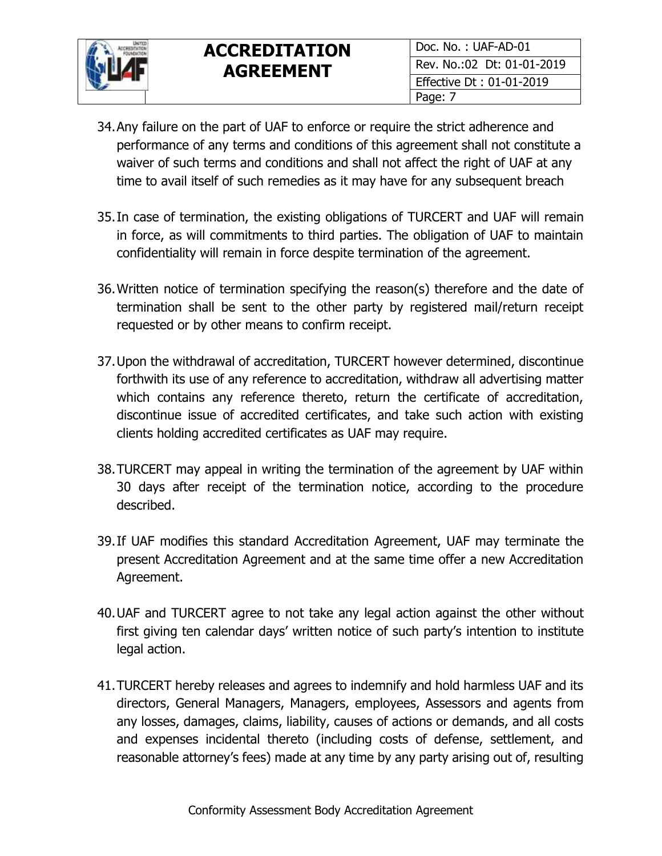

- 34.Any failure on the part of UAF to enforce or require the strict adherence and performance of any terms and conditions of this agreement shall not constitute a waiver of such terms and conditions and shall not affect the right of UAF at any time to avail itself of such remedies as it may have for any subsequent breach
- 35.In case of termination, the existing obligations of TURCERT and UAF will remain in force, as will commitments to third parties. The obligation of UAF to maintain confidentiality will remain in force despite termination of the agreement.
- 36.Written notice of termination specifying the reason(s) therefore and the date of termination shall be sent to the other party by registered mail/return receipt requested or by other means to confirm receipt.
- 37.Upon the withdrawal of accreditation, TURCERT however determined, discontinue forthwith its use of any reference to accreditation, withdraw all advertising matter which contains any reference thereto, return the certificate of accreditation, discontinue issue of accredited certificates, and take such action with existing clients holding accredited certificates as UAF may require.
- 38.TURCERT may appeal in writing the termination of the agreement by UAF within 30 days after receipt of the termination notice, according to the procedure described.
- 39.If UAF modifies this standard Accreditation Agreement, UAF may terminate the present Accreditation Agreement and at the same time offer a new Accreditation Agreement.
- 40.UAF and TURCERT agree to not take any legal action against the other without first giving ten calendar days' written notice of such party's intention to institute legal action.
- 41.TURCERT hereby releases and agrees to indemnify and hold harmless UAF and its directors, General Managers, Managers, employees, Assessors and agents from any losses, damages, claims, liability, causes of actions or demands, and all costs and expenses incidental thereto (including costs of defense, settlement, and reasonable attorney's fees) made at any time by any party arising out of, resulting